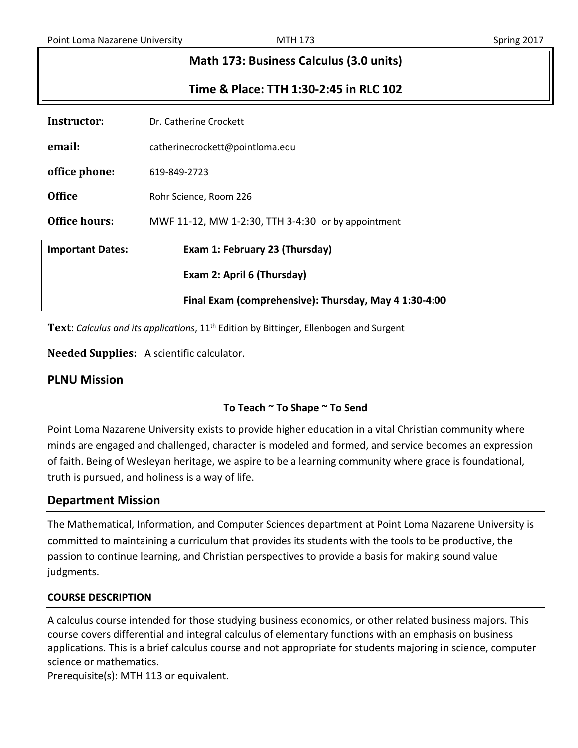# **Math 173: Business Calculus (3.0 units) Time & Place: TTH 1:30-2:45 in RLC 102 Instructor:** Dr. Catherine Crockett

|                         | Final Exam (comprehensive): Thursday, May 4 1:30-4:00 |
|-------------------------|-------------------------------------------------------|
|                         | Exam 2: April 6 (Thursday)                            |
| <b>Important Dates:</b> | Exam 1: February 23 (Thursday)                        |
| <b>Office hours:</b>    | MWF 11-12, MW 1-2:30, TTH 3-4:30 or by appointment    |
| <b>Office</b>           | Rohr Science, Room 226                                |
| office phone:           | 619-849-2723                                          |
| email:                  | catherinecrockett@pointloma.edu                       |
| msu uctor.              | DI. CALIENNE CIOCKELL                                 |

Text: Calculus and its applications, 11<sup>th</sup> Edition by Bittinger, Ellenbogen and Surgent

**Needed Supplies:** A scientific calculator.

# **To Teach ~ To Shape ~ To Send**

Point Loma Nazarene University exists to provide higher education in a vital Christian community where minds are engaged and challenged, character is modeled and formed, and service becomes an expression of faith. Being of Wesleyan heritage, we aspire to be a learning community where grace is foundational, truth is pursued, and holiness is a way of life.

# **Department Mission**

The Mathematical, Information, and Computer Sciences department at Point Loma Nazarene University is committed to maintaining a curriculum that provides its students with the tools to be productive, the passion to continue learning, and Christian perspectives to provide a basis for making sound value judgments.

#### **COURSE DESCRIPTION**

A calculus course intended for those studying business economics, or other related business majors. This course covers differential and integral calculus of elementary functions with an emphasis on business applications. This is a brief calculus course and not appropriate for students majoring in science, computer science or mathematics.

Prerequisite(s): MTH 113 or equivalent.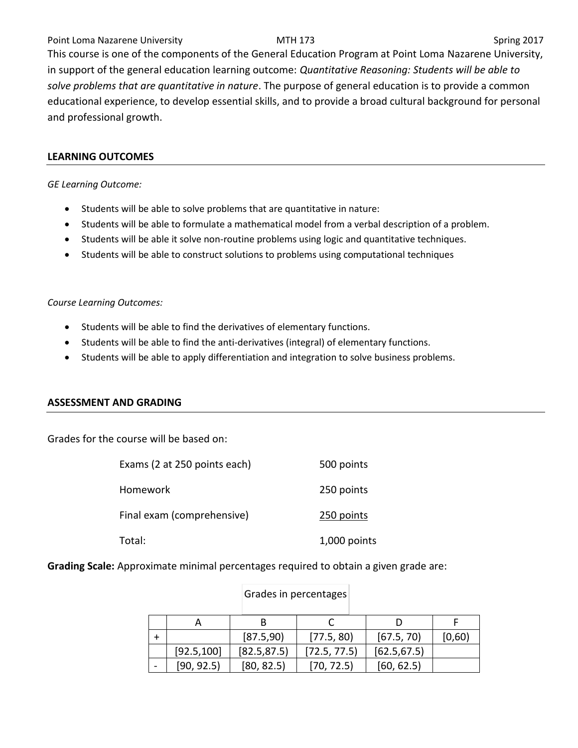#### Point Loma Nazarene University **MTH 173** MTH 173 Spring 2017

This course is one of the components of the General Education Program at Point Loma Nazarene University, in support of the general education learning outcome: *Quantitative Reasoning: Students will be able to solve problems that are quantitative in nature*. The purpose of general education is to provide a common educational experience, to develop essential skills, and to provide a broad cultural background for personal and professional growth.

#### **LEARNING OUTCOMES**

*GE Learning Outcome:* 

- Students will be able to solve problems that are quantitative in nature:
- Students will be able to formulate a mathematical model from a verbal description of a problem.
- Students will be able it solve non-routine problems using logic and quantitative techniques.
- Students will be able to construct solutions to problems using computational techniques

*Course Learning Outcomes:*

- Students will be able to find the derivatives of elementary functions.
- Students will be able to find the anti-derivatives (integral) of elementary functions.
- Students will be able to apply differentiation and integration to solve business problems.

#### **ASSESSMENT AND GRADING**

Grades for the course will be based on:

| Exams (2 at 250 points each) | 500 points   |
|------------------------------|--------------|
| Homework                     | 250 points   |
| Final exam (comprehensive)   | 250 points   |
| Total:                       | 1,000 points |

**Grading Scale:** Approximate minimal percentages required to obtain a given grade are:

|             | [87.5,90]    | [77.5, 80]   | [67.5, 70]   | [0,60) |
|-------------|--------------|--------------|--------------|--------|
| [92.5, 100] | [82.5, 87.5] | [72.5, 77.5] | [62.5, 67.5] |        |
| [90, 92.5)  | [80, 82.5]   | [70, 72.5]   | [60, 62.5]   |        |

# Grades in percentages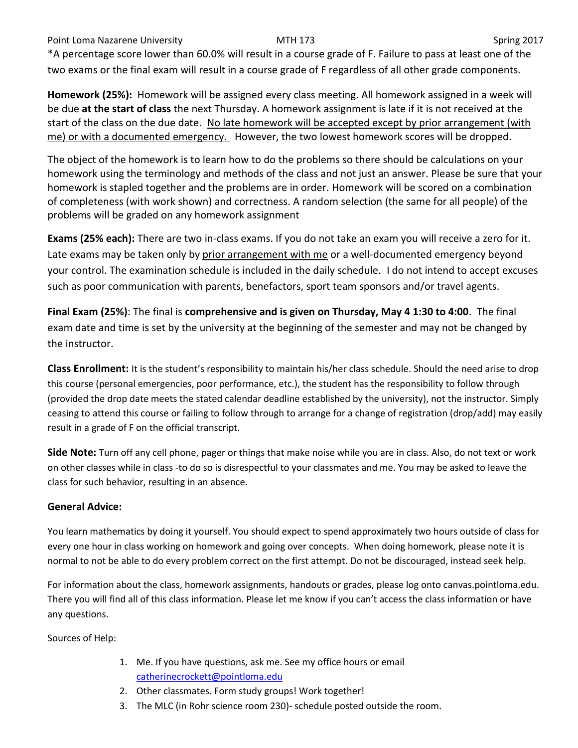Point Loma Nazarene University **MTH 173** NOST 100 Spring 2017

\*A percentage score lower than 60.0% will result in a course grade of F. Failure to pass at least one of the two exams or the final exam will result in a course grade of F regardless of all other grade components.

**Homework (25%):** Homework will be assigned every class meeting. All homework assigned in a week will be due **at the start of class** the next Thursday. A homework assignment is late if it is not received at the start of the class on the due date. No late homework will be accepted except by prior arrangement (with me) or with a documented emergency. However, the two lowest homework scores will be dropped.

The object of the homework is to learn how to do the problems so there should be calculations on your homework using the terminology and methods of the class and not just an answer. Please be sure that your homework is stapled together and the problems are in order. Homework will be scored on a combination of completeness (with work shown) and correctness. A random selection (the same for all people) of the problems will be graded on any homework assignment

**Exams (25% each):** There are two in-class exams. If you do not take an exam you will receive a zero for it. Late exams may be taken only by prior arrangement with me or a well-documented emergency beyond your control. The examination schedule is included in the daily schedule. I do not intend to accept excuses such as poor communication with parents, benefactors, sport team sponsors and/or travel agents.

**Final Exam (25%)**: The final is **comprehensive and is given on Thursday, May 4 1:30 to 4:00**. The final exam date and time is set by the university at the beginning of the semester and may not be changed by the instructor.

**Class Enrollment:** It is the student's responsibility to maintain his/her class schedule. Should the need arise to drop this course (personal emergencies, poor performance, etc.), the student has the responsibility to follow through (provided the drop date meets the stated calendar deadline established by the university), not the instructor. Simply ceasing to attend this course or failing to follow through to arrange for a change of registration (drop/add) may easily result in a grade of F on the official transcript.

**Side Note:** Turn off any cell phone, pager or things that make noise while you are in class. Also, do not text or work on other classes while in class -to do so is disrespectful to your classmates and me. You may be asked to leave the class for such behavior, resulting in an absence.

# **General Advice:**

You learn mathematics by doing it yourself. You should expect to spend approximately two hours outside of class for every one hour in class working on homework and going over concepts. When doing homework, please note it is normal to not be able to do every problem correct on the first attempt. Do not be discouraged, instead seek help.

For information about the class, homework assignments, handouts or grades, please log onto canvas.pointloma.edu. There you will find all of this class information. Please let me know if you can't access the class information or have any questions.

Sources of Help:

- 1. Me. If you have questions, ask me. See my office hours or email [catherinecrockett@pointloma.edu](mailto:catherinecrockett@pointloma.edu)
- 2. Other classmates. Form study groups! Work together!
- 3. The MLC (in Rohr science room 230)- schedule posted outside the room.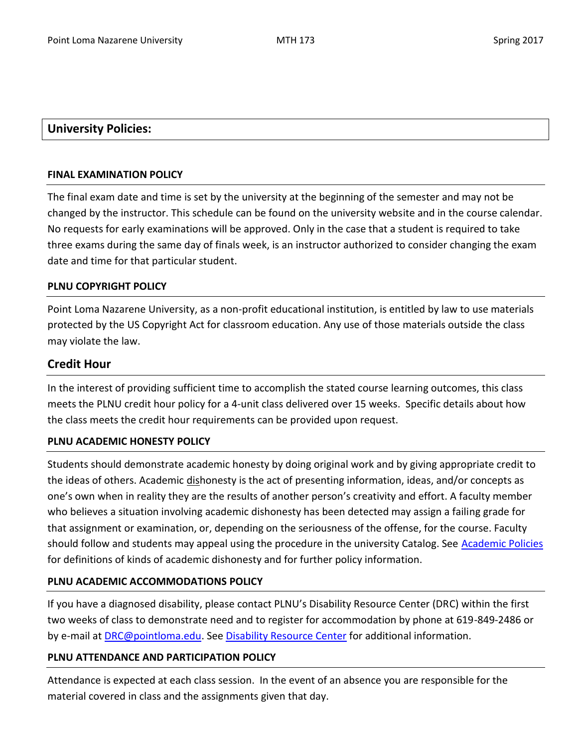# **University Policies:**

### **FINAL EXAMINATION POLICY**

The final exam date and time is set by the university at the beginning of the semester and may not be changed by the instructor. This schedule can be found on the university website and in the course calendar. No requests for early examinations will be approved. Only in the case that a student is required to take three exams during the same day of finals week, is an instructor authorized to consider changing the exam date and time for that particular student.

# **PLNU COPYRIGHT POLICY**

Point Loma Nazarene University, as a non-profit educational institution, is entitled by law to use materials protected by the US Copyright Act for classroom education. Any use of those materials outside the class may violate the law.

# **Credit Hour**

In the interest of providing sufficient time to accomplish the stated course learning outcomes, this class meets the PLNU credit hour policy for a 4-unit class delivered over 15 weeks. Specific details about how the class meets the credit hour requirements can be provided upon request.

#### **PLNU ACADEMIC HONESTY POLICY**

Students should demonstrate academic honesty by doing original work and by giving appropriate credit to the ideas of others. Academic dishonesty is the act of presenting information, ideas, and/or concepts as one's own when in reality they are the results of another person's creativity and effort. A faculty member who believes a situation involving academic dishonesty has been detected may assign a failing grade for that assignment or examination, or, depending on the seriousness of the offense, for the course. Faculty should follow and students may appeal using the procedure in the university Catalog. See [Academic Policies](http://catalog.pointloma.edu/content.php?catoid=18&navoid=1278) for definitions of kinds of academic dishonesty and for further policy information.

# **PLNU ACADEMIC ACCOMMODATIONS POLICY**

If you have a diagnosed disability, please contact PLNU's Disability Resource Center (DRC) within the first two weeks of class to demonstrate need and to register for accommodation by phone at 619-849-2486 or by e-mail at **DRC@pointloma.edu. See [Disability Resource Center](http://www.pointloma.edu/experience/offices/administrative-offices/academic-advising-office/disability-resource-center) for additional information.** 

# **PLNU ATTENDANCE AND PARTICIPATION POLICY**

Attendance is expected at each class session. In the event of an absence you are responsible for the material covered in class and the assignments given that day.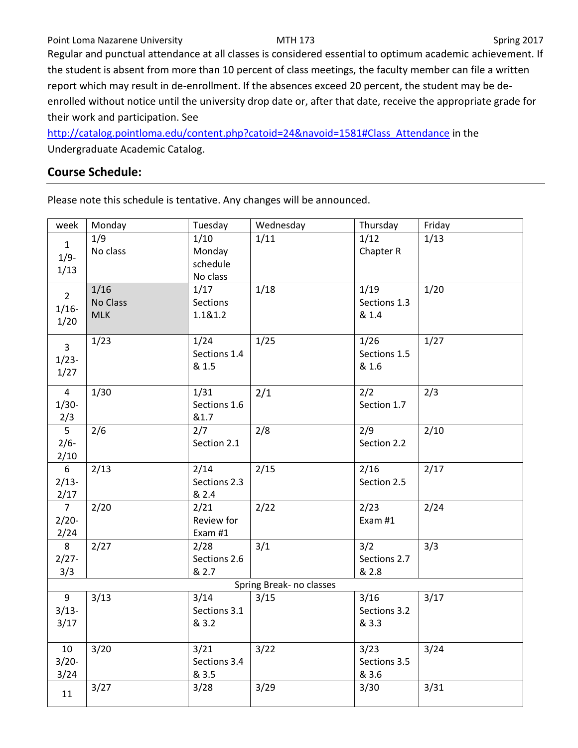#### Point Loma Nazarene University **MTH 173** MTH 173 Spring 2017

Regular and punctual attendance at all classes is considered essential to optimum academic achievement. If the student is absent from more than 10 percent of class meetings, the faculty member can file a written report which may result in de-enrollment. If the absences exceed 20 percent, the student may be deenrolled without notice until the university drop date or, after that date, receive the appropriate grade for their work and participation. See

[http://catalog.pointloma.edu/content.php?catoid=24&navoid=1581#Class\\_Attendance](http://catalog.pointloma.edu/content.php?catoid=24&navoid=1581#Class_Attendance) in the Undergraduate Academic Catalog.

# **Course Schedule:**

Please note this schedule is tentative. Any changes will be announced.

| week           | Monday     | Tuesday      | Wednesday                | Thursday     | Friday |
|----------------|------------|--------------|--------------------------|--------------|--------|
| $\mathbf{1}$   | 1/9        | 1/10         | 1/11                     | 1/12         | 1/13   |
| $1/9-$         | No class   | Monday       |                          | Chapter R    |        |
| 1/13           |            | schedule     |                          |              |        |
|                |            | No class     |                          |              |        |
| $\overline{2}$ | 1/16       | 1/17         | 1/18                     | 1/19         | 1/20   |
| $1/16 -$       | No Class   | Sections     |                          | Sections 1.3 |        |
| 1/20           | <b>MLK</b> | 1.1&1.2      |                          | & 1.4        |        |
|                |            |              |                          |              |        |
| $\overline{3}$ | 1/23       | 1/24         | 1/25                     | 1/26         | 1/27   |
| $1/23-$        |            | Sections 1.4 |                          | Sections 1.5 |        |
| 1/27           |            | & 1.5        |                          | & 1.6        |        |
| $\overline{4}$ | 1/30       | 1/31         |                          | 2/2          | 2/3    |
| $1/30-$        |            | Sections 1.6 | 2/1                      | Section 1.7  |        |
| 2/3            |            | &1.7         |                          |              |        |
| $\overline{5}$ | 2/6        | 2/7          | 2/8                      | 2/9          | 2/10   |
| $2/6-$         |            | Section 2.1  |                          | Section 2.2  |        |
| 2/10           |            |              |                          |              |        |
| $6\phantom{a}$ | 2/13       | 2/14         | 2/15                     | 2/16         | 2/17   |
| $2/13-$        |            | Sections 2.3 |                          | Section 2.5  |        |
| 2/17           |            | & 2.4        |                          |              |        |
| 7 <sup>7</sup> | 2/20       | 2/21         | 2/22                     | 2/23         | 2/24   |
| $2/20-$        |            | Review for   |                          | Exam #1      |        |
| 2/24           |            | Exam #1      |                          |              |        |
| 8              | 2/27       | 2/28         | 3/1                      | 3/2          | 3/3    |
| $2/27 -$       |            | Sections 2.6 |                          | Sections 2.7 |        |
| 3/3            |            | & 2.7        |                          | & 2.8        |        |
|                |            |              | Spring Break- no classes |              |        |
| 9              | 3/13       | 3/14         | 3/15                     | 3/16         | 3/17   |
| $3/13-$        |            | Sections 3.1 |                          | Sections 3.2 |        |
| 3/17           |            | & 3.2        |                          | & 3.3        |        |
|                |            |              |                          |              |        |
| 10             | 3/20       | 3/21         | 3/22                     | 3/23         | 3/24   |
| $3/20-$        |            | Sections 3.4 |                          | Sections 3.5 |        |
| 3/24           |            | & 3.5        |                          | & 3.6        |        |
| 11             | 3/27       | 3/28         | 3/29                     | 3/30         | 3/31   |
|                |            |              |                          |              |        |